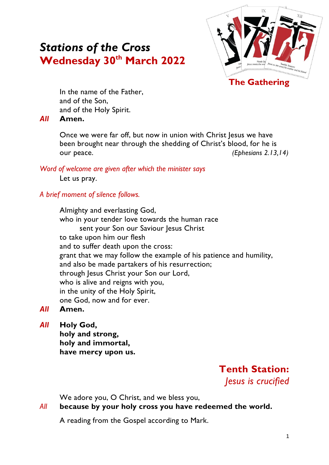# *Stations of the Cross* **Wednesday 30th March 2022**



In the name of the Father, and of the Son, and of the Holy Spirit.

### *All* **Amen.**

Once we were far off, but now in union with Christ Jesus we have been brought near through the shedding of Christ's blood, for he is our peace. *(Ephesians 2.13,14)*

*Word of welcome are given after which the minister says*

Let us pray.

## *A brief moment of silence follows.*

Almighty and everlasting God, who in your tender love towards the human race sent your Son our Saviour Jesus Christ to take upon him our flesh and to suffer death upon the cross: grant that we may follow the example of his patience and humility, and also be made partakers of his resurrection; through Jesus Christ your Son our Lord, who is alive and reigns with you, in the unity of the Holy Spirit, one God, now and for ever.

- *All* **Amen.**
- *All* **Holy God, holy and strong, holy and immortal, have mercy upon us.**

**Tenth Station:**  *Jesus is crucified*

We adore you, O Christ, and we bless you,

## *All* **because by your holy cross you have redeemed the world.**

A reading from the Gospel according to Mark.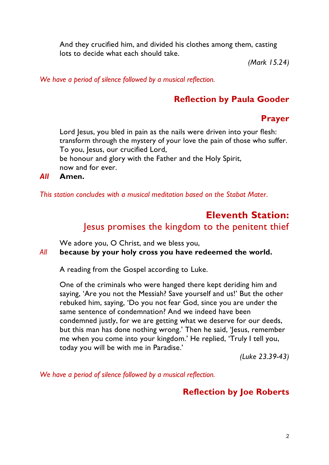And they crucified him, and divided his clothes among them, casting lots to decide what each should take.

*(Mark 15.24)*

*We have a period of silence followed by a musical reflection.*

## **Reflection by Paula Gooder**

## **Prayer**

Lord Jesus, you bled in pain as the nails were driven into your flesh: transform through the mystery of your love the pain of those who suffer. To you, Jesus, our crucified Lord,

be honour and glory with the Father and the Holy Spirit, now and for ever.

*All* **Amen.**

*This station concludes with a musical meditation based on the Stabat Mater.*

# **Eleventh Station:**  Jesus promises the kingdom to the penitent thief

We adore you, O Christ, and we bless you,

*All* **because by your holy cross you have redeemed the world.**

A reading from the Gospel according to Luke.

One of the criminals who were hanged there kept deriding him and saying, 'Are you not the Messiah? Save yourself and us!' But the other rebuked him, saying, 'Do you not fear God, since you are under the same sentence of condemnation? And we indeed have been condemned justly, for we are getting what we deserve for our deeds, but this man has done nothing wrong.' Then he said, 'Jesus, remember me when you come into your kingdom.' He replied, 'Truly I tell you, today you will be with me in Paradise.'

*(Luke 23.39-43)*

*We have a period of silence followed by a musical reflection.*

## **Reflection by Joe Roberts**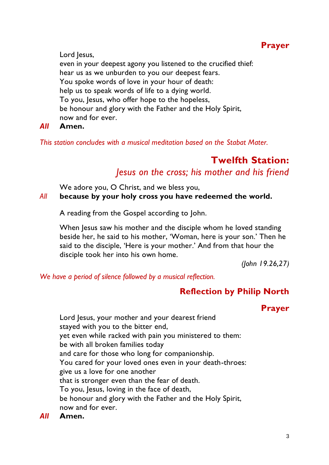## **Prayer**

Lord Jesus, even in your deepest agony you listened to the crucified thief: hear us as we unburden to you our deepest fears. You spoke words of love in your hour of death: help us to speak words of life to a dying world. To you, Jesus, who offer hope to the hopeless, be honour and glory with the Father and the Holy Spirit, now and for ever.

### *All* **Amen.**

*This station concludes with a musical meditation based on the Stabat Mater.*

# **Twelfth Station:**  *Jesus on the cross; his mother and his friend*

We adore you, O Christ, and we bless you,

### *All* **because by your holy cross you have redeemed the world.**

A reading from the Gospel according to John.

When Jesus saw his mother and the disciple whom he loved standing beside her, he said to his mother, 'Woman, here is your son.' Then he said to the disciple, 'Here is your mother.' And from that hour the disciple took her into his own home.

*(John 19.26,27)*

*We have a period of silence followed by a musical reflection.*

## **Reflection by Philip North**

## **Prayer**

Lord Jesus, your mother and your dearest friend stayed with you to the bitter end, yet even while racked with pain you ministered to them: be with all broken families today and care for those who long for companionship. You cared for your loved ones even in your death-throes: give us a love for one another that is stronger even than the fear of death. To you, Jesus, loving in the face of death, be honour and glory with the Father and the Holy Spirit, now and for ever.

*All* **Amen.**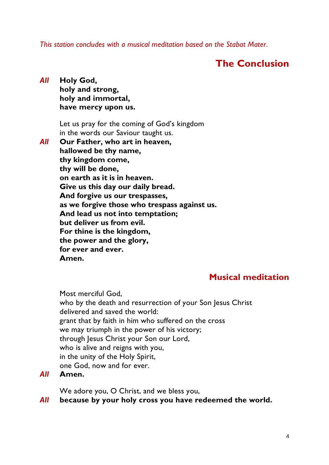*This station concludes with a musical meditation based on the Stabat Mater.*

## **The Conclusion**

### *All* **Holy God, holy and strong, holy and immortal, have mercy upon us.**

Let us pray for the coming of God's kingdom in the words our Saviour taught us.

### *All* **Our Father, who art in heaven, hallowed be thy name, thy kingdom come, thy will be done, on earth as it is in heaven. Give us this day our daily bread. And forgive us our trespasses, as we forgive those who trespass against us. And lead us not into temptation; but deliver us from evil. For thine is the kingdom, the power and the glory, for ever and ever. Amen.**

## **Musical meditation**

Most merciful God, who by the death and resurrection of your Son Jesus Christ delivered and saved the world: grant that by faith in him who suffered on the cross we may triumph in the power of his victory; through Jesus Christ your Son our Lord, who is alive and reigns with you, in the unity of the Holy Spirit, one God, now and for ever.

#### *All* **Amen.**

We adore you, O Christ, and we bless you,

### *All* **because by your holy cross you have redeemed the world.**